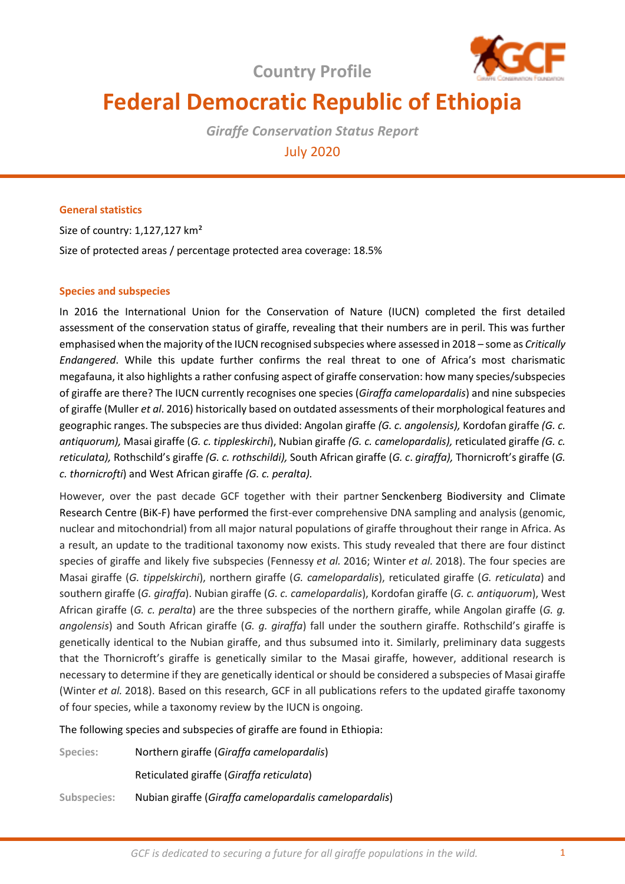**Country Profile**



# **Federal Democratic Republic of Ethiopia**

*Giraffe Conservation Status Report*  July 2020

# **General statistics**

Size of country: 1,127,127 km² Size of protected areas / percentage protected area coverage: 18.5%

## **Species and subspecies**

In 2016 the International Union for the Conservation of Nature (IUCN) completed the first detailed assessment of the conservation status of giraffe, revealing that their numbers are in peril. This was further emphasised when the majority of the IUCN recognised subspecies where assessed in 2018 – some as *Critically Endangered*. While this update further confirms the real threat to one of Africa's most charismatic megafauna, it also highlights a rather confusing aspect of giraffe conservation: how many species/subspecies of giraffe are there? The IUCN currently recognises one species (*Giraffa camelopardalis*) and nine subspecies of giraffe (Muller *et al*. 2016) historically based on outdated assessments of their morphological features and geographic ranges. The subspecies are thus divided: Angolan giraffe *(G. c. angolensis),* Kordofan giraffe *(G. c. antiquorum),* Masai giraffe (*G. c. tippleskirchi*), Nubian giraffe *(G. c. camelopardalis),* reticulated giraffe *(G. c. reticulata),* Rothschild's giraffe *(G. c. rothschildi),* South African giraffe (*G. c*. *giraffa),* Thornicroft's giraffe (*G. c. thornicrofti*) and West African giraffe *(G. c. peralta).* 

However, over the past decade GCF together with their partner Senckenberg Biodiversity and Climate Research Centre (BiK-F) have performed the first-ever comprehensive DNA sampling and analysis (genomic, nuclear and mitochondrial) from all major natural populations of giraffe throughout their range in Africa. As a result, an update to the traditional taxonomy now exists. This study revealed that there are four distinct species of giraffe and likely five subspecies (Fennessy *et al.* 2016; Winter *et al.* 2018). The four species are Masai giraffe (*G. tippelskirchi*), northern giraffe (*G. camelopardalis*), reticulated giraffe (*G. reticulata*) and southern giraffe (*G. giraffa*). Nubian giraffe (*G. c. camelopardalis*), Kordofan giraffe (*G. c. antiquorum*), West African giraffe (*G. c. peralta*) are the three subspecies of the northern giraffe, while Angolan giraffe (*G. g. angolensis*) and South African giraffe (*G. g. giraffa*) fall under the southern giraffe. Rothschild's giraffe is genetically identical to the Nubian giraffe, and thus subsumed into it. Similarly, preliminary data suggests that the Thornicroft's giraffe is genetically similar to the Masai giraffe, however, additional research is necessary to determine if they are genetically identical or should be considered a subspecies of Masai giraffe (Winter *et al.* 2018). Based on this research, GCF in all publications refers to the updated giraffe taxonomy of four species, while a taxonomy review by the IUCN is ongoing.

The following species and subspecies of giraffe are found in Ethiopia:

| Species:    | Northern giraffe (Giraffa camelopardalis)              |
|-------------|--------------------------------------------------------|
|             | Reticulated giraffe (Giraffa reticulata)               |
| Subspecies: | Nubian giraffe (Giraffa camelopardalis camelopardalis) |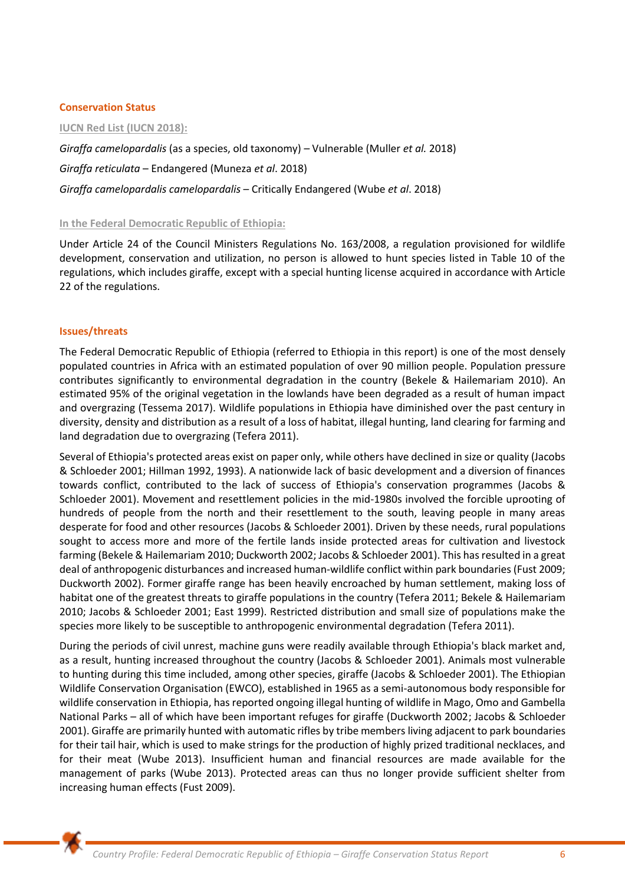## **Conservation Status**

**IUCN Red List (IUCN 2018):** 

*Giraffa camelopardalis* (as a species, old taxonomy) *–* Vulnerable (Muller *et al.* 2018)

*Giraffa reticulata* – Endangered (Muneza *et al*. 2018)

*Giraffa camelopardalis camelopardalis* – Critically Endangered (Wube *et al*. 2018)

## **In the Federal Democratic Republic of Ethiopia:**

Under Article 24 of the Council Ministers Regulations No. 163/2008, a regulation provisioned for wildlife development, conservation and utilization, no person is allowed to hunt species listed in Table 10 of the regulations, which includes giraffe, except with a special hunting license acquired in accordance with Article 22 of the regulations.

## **Issues/threats**

The Federal Democratic Republic of Ethiopia (referred to Ethiopia in this report) is one of the most densely populated countries in Africa with an estimated population of over 90 million people. Population pressure contributes significantly to environmental degradation in the country (Bekele & Hailemariam 2010). An estimated 95% of the original vegetation in the lowlands have been degraded as a result of human impact and overgrazing (Tessema 2017). Wildlife populations in Ethiopia have diminished over the past century in diversity, density and distribution as a result of a loss of habitat, illegal hunting, land clearing for farming and land degradation due to overgrazing (Tefera 2011).

Several of Ethiopia's protected areas exist on paper only, while others have declined in size or quality (Jacobs & Schloeder 2001; Hillman 1992, 1993). A nationwide lack of basic development and a diversion of finances towards conflict, contributed to the lack of success of Ethiopia's conservation programmes (Jacobs & Schloeder 2001). Movement and resettlement policies in the mid-1980s involved the forcible uprooting of hundreds of people from the north and their resettlement to the south, leaving people in many areas desperate for food and other resources (Jacobs & Schloeder 2001). Driven by these needs, rural populations sought to access more and more of the fertile lands inside protected areas for cultivation and livestock farming (Bekele & Hailemariam 2010; Duckworth 2002; Jacobs & Schloeder 2001). This has resulted in a great deal of anthropogenic disturbances and increased human-wildlife conflict within park boundaries (Fust 2009; Duckworth 2002). Former giraffe range has been heavily encroached by human settlement, making loss of habitat one of the greatest threats to giraffe populations in the country (Tefera 2011; Bekele & Hailemariam 2010; Jacobs & Schloeder 2001; East 1999). Restricted distribution and small size of populations make the species more likely to be susceptible to anthropogenic environmental degradation (Tefera 2011).

During the periods of civil unrest, machine guns were readily available through Ethiopia's black market and, as a result, hunting increased throughout the country (Jacobs & Schloeder 2001). Animals most vulnerable to hunting during this time included, among other species, giraffe (Jacobs & Schloeder 2001). The Ethiopian Wildlife Conservation Organisation (EWCO), established in 1965 as a semi-autonomous body responsible for wildlife conservation in Ethiopia, has reported ongoing illegal hunting of wildlife in Mago, Omo and Gambella National Parks – all of which have been important refuges for giraffe (Duckworth 2002; Jacobs & Schloeder 2001). Giraffe are primarily hunted with automatic rifles by tribe members living adjacent to park boundaries for their tail hair, which is used to make strings for the production of highly prized traditional necklaces, and for their meat (Wube 2013). Insufficient human and financial resources are made available for the management of parks (Wube 2013). Protected areas can thus no longer provide sufficient shelter from increasing human effects (Fust 2009).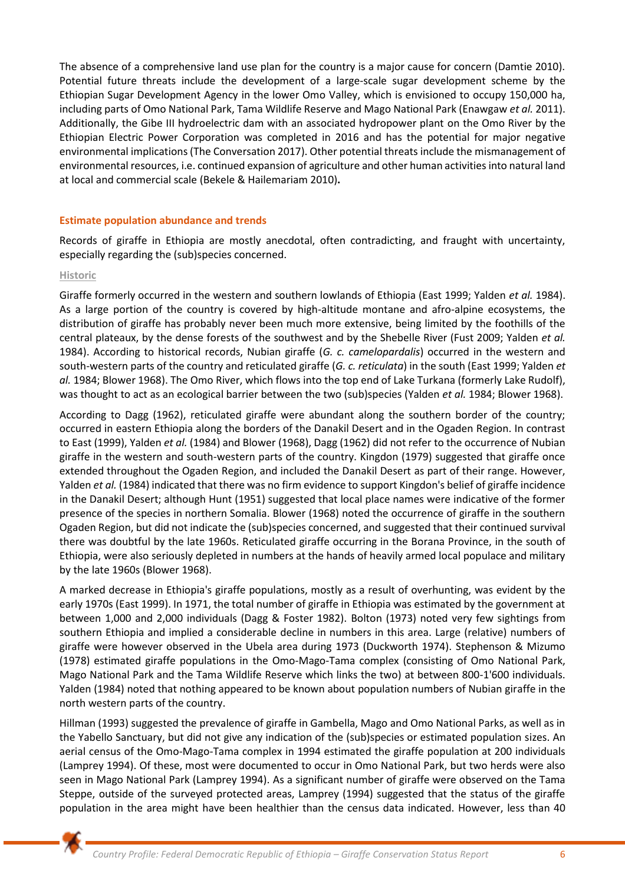The absence of a comprehensive land use plan for the country is a major cause for concern (Damtie 2010). Potential future threats include the development of a large-scale sugar development scheme by the Ethiopian Sugar Development Agency in the lower Omo Valley, which is envisioned to occupy 150,000 ha, including parts of Omo National Park, Tama Wildlife Reserve and Mago National Park (Enawgaw *et al.* 2011). Additionally, the Gibe III hydroelectric dam with an associated hydropower plant on the Omo River by the Ethiopian Electric Power Corporation was completed in 2016 and has the potential for major negative environmental implications (The Conversation 2017). Other potential threats include the mismanagement of environmental resources, i.e. continued expansion of agriculture and other human activities into natural land at local and commercial scale (Bekele & Hailemariam 2010)**.** 

#### **Estimate population abundance and trends**

Records of giraffe in Ethiopia are mostly anecdotal, often contradicting, and fraught with uncertainty, especially regarding the (sub)species concerned.

#### **Historic**

Giraffe formerly occurred in the western and southern lowlands of Ethiopia (East 1999; Yalden *et al.* 1984). As a large portion of the country is covered by high-altitude montane and afro-alpine ecosystems, the distribution of giraffe has probably never been much more extensive, being limited by the foothills of the central plateaux, by the dense forests of the southwest and by the Shebelle River (Fust 2009; Yalden *et al.* 1984). According to historical records, Nubian giraffe (*G. c. camelopardalis*) occurred in the western and south-western parts of the country and reticulated giraffe (*G. c. reticulata*) in the south (East 1999; Yalden *et al.* 1984; Blower 1968). The Omo River, which flows into the top end of Lake Turkana (formerly Lake Rudolf), was thought to act as an ecological barrier between the two (sub)species (Yalden *et al.* 1984; Blower 1968).

According to Dagg (1962), reticulated giraffe were abundant along the southern border of the country; occurred in eastern Ethiopia along the borders of the Danakil Desert and in the Ogaden Region. In contrast to East (1999), Yalden *et al.* (1984) and Blower (1968), Dagg (1962) did not refer to the occurrence of Nubian giraffe in the western and south-western parts of the country. Kingdon (1979) suggested that giraffe once extended throughout the Ogaden Region, and included the Danakil Desert as part of their range. However, Yalden *et al.* (1984) indicated that there was no firm evidence to support Kingdon's belief of giraffe incidence in the Danakil Desert; although Hunt (1951) suggested that local place names were indicative of the former presence of the species in northern Somalia. Blower (1968) noted the occurrence of giraffe in the southern Ogaden Region, but did not indicate the (sub)species concerned, and suggested that their continued survival there was doubtful by the late 1960s. Reticulated giraffe occurring in the Borana Province, in the south of Ethiopia, were also seriously depleted in numbers at the hands of heavily armed local populace and military by the late 1960s (Blower 1968).

A marked decrease in Ethiopia's giraffe populations, mostly as a result of overhunting, was evident by the early 1970s (East 1999). In 1971, the total number of giraffe in Ethiopia was estimated by the government at between 1,000 and 2,000 individuals (Dagg & Foster 1982). Bolton (1973) noted very few sightings from southern Ethiopia and implied a considerable decline in numbers in this area. Large (relative) numbers of giraffe were however observed in the Ubela area during 1973 (Duckworth 1974). Stephenson & Mizumo (1978) estimated giraffe populations in the Omo-Mago-Tama complex (consisting of Omo National Park, Mago National Park and the Tama Wildlife Reserve which links the two) at between 800-1'600 individuals. Yalden (1984) noted that nothing appeared to be known about population numbers of Nubian giraffe in the north western parts of the country.

Hillman (1993) suggested the prevalence of giraffe in Gambella, Mago and Omo National Parks, as well as in the Yabello Sanctuary, but did not give any indication of the (sub)species or estimated population sizes. An aerial census of the Omo-Mago-Tama complex in 1994 estimated the giraffe population at 200 individuals (Lamprey 1994). Of these, most were documented to occur in Omo National Park, but two herds were also seen in Mago National Park (Lamprey 1994). As a significant number of giraffe were observed on the Tama Steppe, outside of the surveyed protected areas, Lamprey (1994) suggested that the status of the giraffe population in the area might have been healthier than the census data indicated. However, less than 40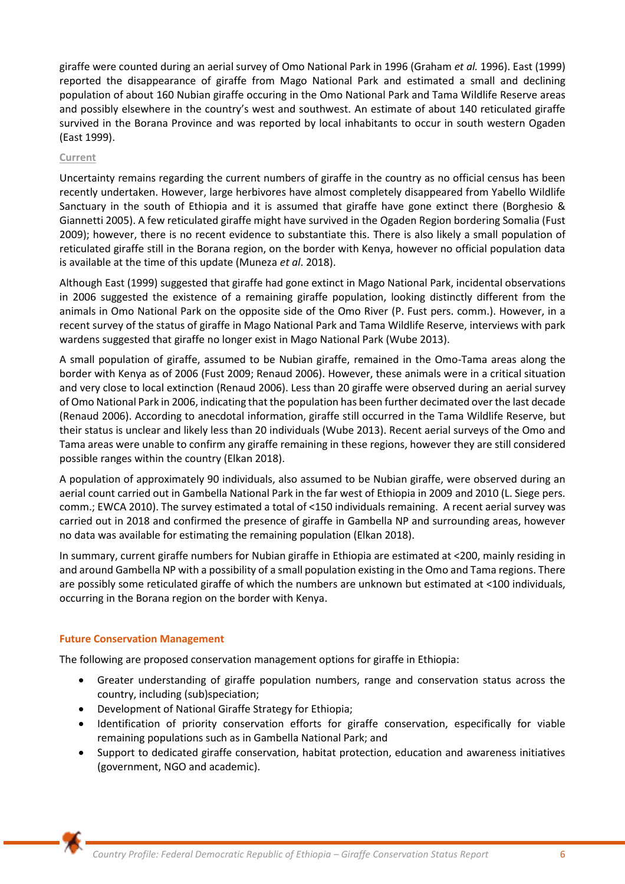giraffe were counted during an aerial survey of Omo National Park in 1996 (Graham *et al.* 1996). East (1999) reported the disappearance of giraffe from Mago National Park and estimated a small and declining population of about 160 Nubian giraffe occuring in the Omo National Park and Tama Wildlife Reserve areas and possibly elsewhere in the country's west and southwest. An estimate of about 140 reticulated giraffe survived in the Borana Province and was reported by local inhabitants to occur in south western Ogaden (East 1999).

## **Current**

Uncertainty remains regarding the current numbers of giraffe in the country as no official census has been recently undertaken. However, large herbivores have almost completely disappeared from Yabello Wildlife Sanctuary in the south of Ethiopia and it is assumed that giraffe have gone extinct there (Borghesio & Giannetti 2005). A few reticulated giraffe might have survived in the Ogaden Region bordering Somalia (Fust 2009); however, there is no recent evidence to substantiate this. There is also likely a small population of reticulated giraffe still in the Borana region, on the border with Kenya, however no official population data is available at the time of this update (Muneza *et al*. 2018).

Although East (1999) suggested that giraffe had gone extinct in Mago National Park, incidental observations in 2006 suggested the existence of a remaining giraffe population, looking distinctly different from the animals in Omo National Park on the opposite side of the Omo River (P. Fust pers. comm.). However, in a recent survey of the status of giraffe in Mago National Park and Tama Wildlife Reserve, interviews with park wardens suggested that giraffe no longer exist in Mago National Park (Wube 2013).

A small population of giraffe, assumed to be Nubian giraffe, remained in the Omo-Tama areas along the border with Kenya as of 2006 (Fust 2009; Renaud 2006). However, these animals were in a critical situation and very close to local extinction (Renaud 2006). Less than 20 giraffe were observed during an aerial survey of Omo National Park in 2006, indicating that the population has been further decimated over the last decade (Renaud 2006). According to anecdotal information, giraffe still occurred in the Tama Wildlife Reserve, but their status is unclear and likely less than 20 individuals (Wube 2013). Recent aerial surveys of the Omo and Tama areas were unable to confirm any giraffe remaining in these regions, however they are still considered possible ranges within the country (Elkan 2018).

A population of approximately 90 individuals, also assumed to be Nubian giraffe, were observed during an aerial count carried out in Gambella National Park in the far west of Ethiopia in 2009 and 2010 (L. Siege pers. comm.; EWCA 2010). The survey estimated a total of <150 individuals remaining. A recent aerial survey was carried out in 2018 and confirmed the presence of giraffe in Gambella NP and surrounding areas, however no data was available for estimating the remaining population (Elkan 2018).

In summary, current giraffe numbers for Nubian giraffe in Ethiopia are estimated at <200, mainly residing in and around Gambella NP with a possibility of a small population existing in the Omo and Tama regions. There are possibly some reticulated giraffe of which the numbers are unknown but estimated at <100 individuals, occurring in the Borana region on the border with Kenya.

# **Future Conservation Management**

The following are proposed conservation management options for giraffe in Ethiopia:

- Greater understanding of giraffe population numbers, range and conservation status across the country, including (sub)speciation;
- Development of National Giraffe Strategy for Ethiopia;
- Identification of priority conservation efforts for giraffe conservation, especifically for viable remaining populations such as in Gambella National Park; and
- Support to dedicated giraffe conservation, habitat protection, education and awareness initiatives (government, NGO and academic).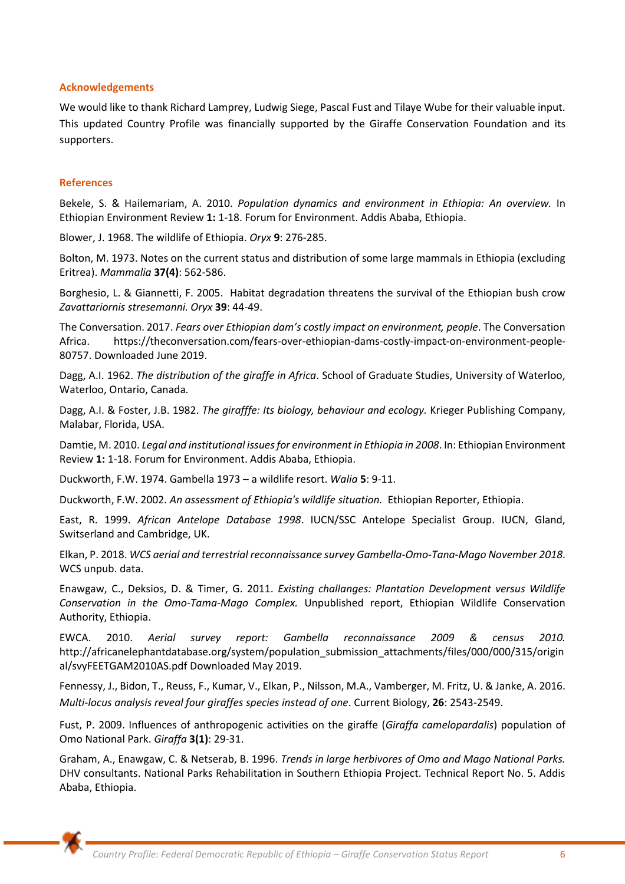#### **Acknowledgements**

We would like to thank Richard Lamprey, Ludwig Siege, Pascal Fust and Tilaye Wube for their valuable input. This updated Country Profile was financially supported by the Giraffe Conservation Foundation and its supporters.

#### **References**

Bekele, S. & Hailemariam, A. 2010. *Population dynamics and environment in Ethiopia: An overview.* In Ethiopian Environment Review **1:** 1-18. Forum for Environment. Addis Ababa, Ethiopia.

Blower, J. 1968. The wildlife of Ethiopia. *Oryx* **9**: 276-285.

Bolton, M. 1973. Notes on the current status and distribution of some large mammals in Ethiopia (excluding Eritrea). *Mammalia* **37(4)**: 562-586.

Borghesio, L. & Giannetti, F. 2005. Habitat degradation threatens the survival of the Ethiopian bush crow *Zavattariornis stresemanni. Oryx* **39**: 44-49.

The Conversation. 2017. *Fears over Ethiopian dam's costly impact on environment, people*. The Conversation Africa. [https://theconversation.com/fears-over-ethiopian-dams-costly-impact-on-environment-people-](about:blank)[80757.](about:blank) Downloaded June 2019.

Dagg, A.I. 1962. *The distribution of the giraffe in Africa*. School of Graduate Studies, University of Waterloo, Waterloo, Ontario, Canada.

Dagg, A.I. & Foster, J.B. 1982. *The girafffe: Its biology, behaviour and ecology.* Krieger Publishing Company, Malabar, Florida, USA.

Damtie, M. 2010. *Legal and institutional issues for environment in Ethiopia in 2008*. In: Ethiopian Environment Review **1:** 1-18. Forum for Environment. Addis Ababa, Ethiopia.

Duckworth, F.W. 1974. Gambella 1973 – a wildlife resort. *Walia* **5**: 9-11.

Duckworth, F.W. 2002. *An assessment of Ethiopia's wildlife situation.* Ethiopian Reporter, Ethiopia.

East, R. 1999. *African Antelope Database 1998*. IUCN/SSC Antelope Specialist Group. IUCN, Gland, Switserland and Cambridge, UK.

Elkan, P. 2018. *WCS aerial and terrestrial reconnaissance survey Gambella-Omo-Tana-Mago November 2018*. WCS unpub. data.

Enawgaw, C., Deksios, D. & Timer, G. 2011. *Existing challanges: Plantation Development versus Wildlife Conservation in the Omo-Tama-Mago Complex.* Unpublished report, Ethiopian Wildlife Conservation Authority, Ethiopia.

EWCA. 2010. *Aerial survey report: Gambella reconnaissance 2009 & census 2010.* [http://africanelephantdatabase.org/system/population\\_submission\\_attachments/files/000/000/315/origin](about:blank) [al/svyFEETGAM2010AS.pdf](about:blank) Downloaded May 2019.

Fennessy, J., Bidon, T., Reuss, F., Kumar, V., Elkan, P., Nilsson, M.A., Vamberger, M. Fritz, U. & Janke, A. 2016. *Multi-locus analysis reveal four giraffes species instead of one*. Current Biology, **26**: 2543-2549.

Fust, P. 2009. Influences of anthropogenic activities on the giraffe (*Giraffa camelopardalis*) population of Omo National Park. *Giraffa* **3(1)**: 29-31.

Graham, A., Enawgaw, C. & Netserab, B. 1996. *Trends in large herbivores of Omo and Mago National Parks.*  DHV consultants. National Parks Rehabilitation in Southern Ethiopia Project. Technical Report No. 5. Addis Ababa, Ethiopia.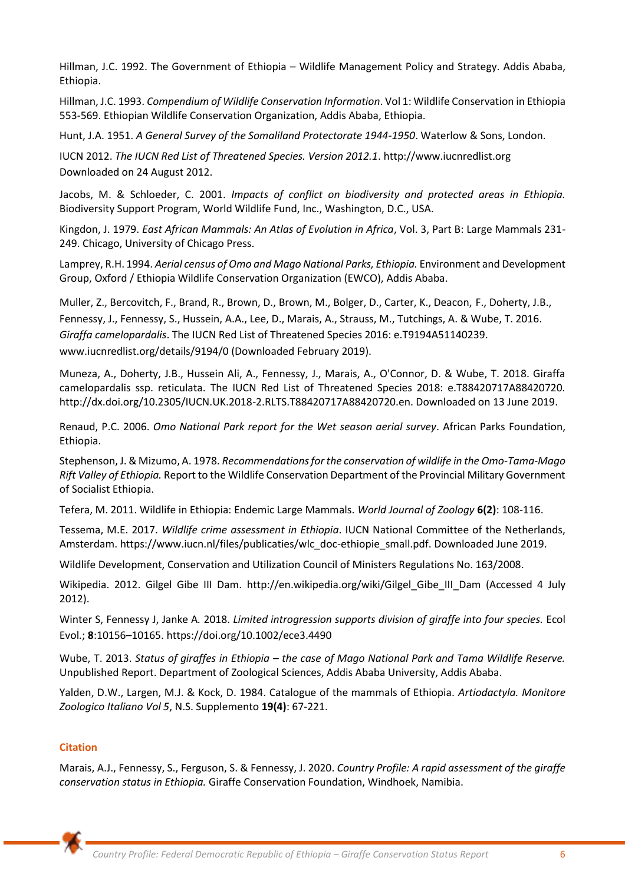Hillman, J.C. 1992. The Government of Ethiopia – Wildlife Management Policy and Strategy. Addis Ababa, Ethiopia.

Hillman, J.C. 1993. *Compendium of Wildlife Conservation Information*. Vol 1: Wildlife Conservation in Ethiopia 553-569. Ethiopian Wildlife Conservation Organization, Addis Ababa, Ethiopia.

Hunt, J.A. 1951. *A General Survey of the Somaliland Protectorate 1944-1950*. Waterlow & Sons, London.

IUCN 2012. *The IUCN Red List of Threatened Species. Version 2012.1*. http://www.iucnredlist.org Downloaded on 24 August 2012.

Jacobs, M. & Schloeder, C. 2001. *Impacts of conflict on biodiversity and protected areas in Ethiopia.* Biodiversity Support Program, World Wildlife Fund, Inc., Washington, D.C., USA.

Kingdon, J. 1979. *East African Mammals: An Atlas of Evolution in Africa*, Vol. 3, Part B: Large Mammals 231- 249. Chicago, University of Chicago Press.

Lamprey, R.H. 1994. *Aerial census of Omo and Mago National Parks, Ethiopia.* Environment and Development Group, Oxford / Ethiopia Wildlife Conservation Organization (EWCO), Addis Ababa.

Muller, Z., Bercovitch, F., Brand, R., Brown, D., Brown, M., Bolger, D., Carter, K., Deacon, F., Doherty, J.B., Fennessy, J., Fennessy, S., Hussein, A.A., Lee, D., Marais, A., Strauss, M., Tutchings, A. & Wube, T. 2016. *Giraffa camelopardalis*. The IUCN Red List of Threatened Species 2016: e.T9194A51140239. www.iucnredlist.org/details/9194/0 (Downloaded February 2019).

Muneza, A., Doherty, J.B., Hussein Ali, A., Fennessy, J., Marais, A., O'Connor, D. & Wube, T. 2018. Giraffa camelopardalis ssp. reticulata. The IUCN Red List of Threatened Species 2018: e.T88420717A88420720. http://dx.doi.org/10.2305/IUCN.UK.2018-2.RLTS.T88420717A88420720.en. Downloaded on 13 June 2019.

Renaud, P.C. 2006. *Omo National Park report for the Wet season aerial survey*. African Parks Foundation, Ethiopia.

Stephenson, J. & Mizumo, A. 1978. *Recommendations for the conservation of wildlife in the Omo-Tama-Mago Rift Valley of Ethiopia.* Report to the Wildlife Conservation Department of the Provincial Military Government of Socialist Ethiopia.

Tefera, M. 2011. Wildlife in Ethiopia: Endemic Large Mammals. *World Journal of Zoology* **6(2)**: 108-116.

Tessema, M.E. 2017. *Wildlife crime assessment in Ethiopia*. IUCN National Committee of the Netherlands, Amsterdam. [https://www.iucn.nl/files/publicaties/wlc\\_doc-ethiopie\\_small.pdf.](about:blank) Downloaded June 2019.

Wildlife Development, Conservation and Utilization Council of Ministers Regulations No. 163/2008.

Wikipedia. 2012. Gilgel Gibe III Dam. http://en.wikipedia.org/wiki/Gilgel\_Gibe\_III\_Dam (Accessed 4 July 2012).

Winter S, Fennessy J, Janke A*.* 2018. *Limited introgression supports division of giraffe into four species.* Ecol Evol*.*; **8**:10156–10165. https://doi.org/10.1002/ece3.4490

Wube, T. 2013. *Status of giraffes in Ethiopia – the case of Mago National Park and Tama Wildlife Reserve.* Unpublished Report. Department of Zoological Sciences, Addis Ababa University, Addis Ababa.

Yalden, D.W., Largen, M.J. & Kock, D. 1984. Catalogue of the mammals of Ethiopia. *Artiodactyla. Monitore Zoologico Italiano Vol 5*, N.S. Supplemento **19(4)**: 67-221.

# **Citation**

Marais, A.J., Fennessy, S., Ferguson, S. & Fennessy, J. 2020. *Country Profile: A rapid assessment of the giraffe conservation status in Ethiopia.* Giraffe Conservation Foundation, Windhoek, Namibia.